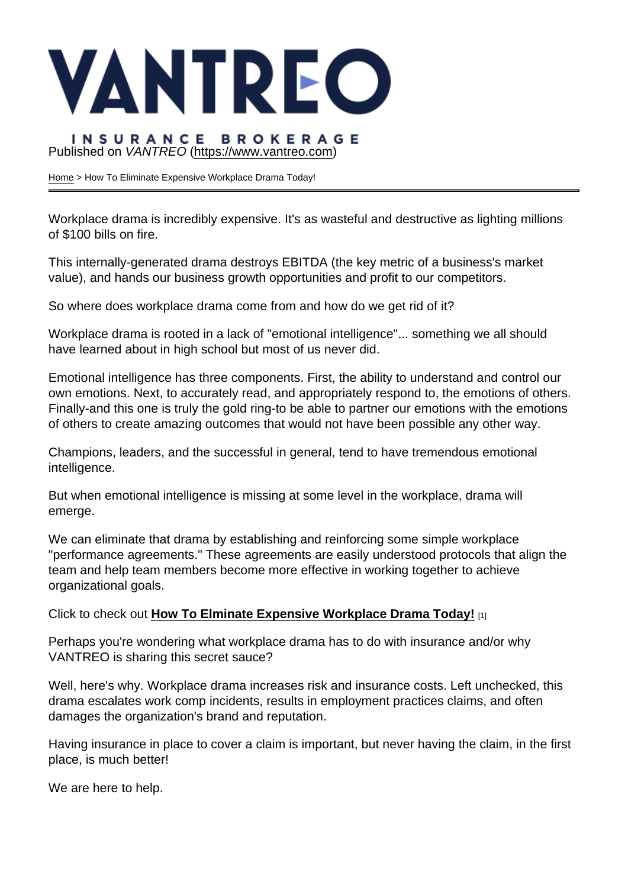# Published on VANTREO [\(https://www.vantreo.com](https://www.vantreo.com))

[Home](https://www.vantreo.com/) > How To Eliminate Expensive Workplace Drama Today!

Workplace drama is incredibly expensive. It's as wasteful and destructive as lighting millions of \$100 bills on fire.

This internally-generated drama destroys EBITDA (the key metric of a business's market value), and hands our business growth opportunities and profit to our competitors.

So where does workplace drama come from and how do we get rid of it?

Workplace drama is rooted in a lack of "emotional intelligence"... something we all should have learned about in high school but most of us never did.

Emotional intelligence has three components. First, the ability to understand and control our own emotions. Next, to accurately read, and appropriately respond to, the emotions of others. Finally-and this one is truly the gold ring-to be able to partner our emotions with the emotions of others to create amazing outcomes that would not have been possible any other way.

Champions, leaders, and the successful in general, tend to have tremendous emotional intelligence.

But when emotional intelligence is missing at some level in the workplace, drama will emerge.

We can eliminate that drama by establishing and reinforcing some simple workplace "performance agreements." These agreements are easily understood protocols that align the team and help team members become more effective in working together to achieve organizational goals.

Click to check out [How To Elminate Expensive Workplace Drama Today!](http://r20.rs6.net/tn.jsp?t=4fdzt65ab.0.0.qjsyr7dab.0&id=preview&r=3&p=https://files.constantcontact.com/0394c19f001/509f740a-dc64-45cb-a7a7-c9506fa8cc99.pdf) [1]

Perhaps you're wondering what workplace drama has to do with insurance and/or why VANTREO is sharing this secret sauce?

Well, here's why. Workplace drama increases risk and insurance costs. Left unchecked, this drama escalates work comp incidents, results in employment practices claims, and often damages the organization's brand and reputation.

Having insurance in place to cover a claim is important, but never having the claim, in the first place, is much better!

We are here to help.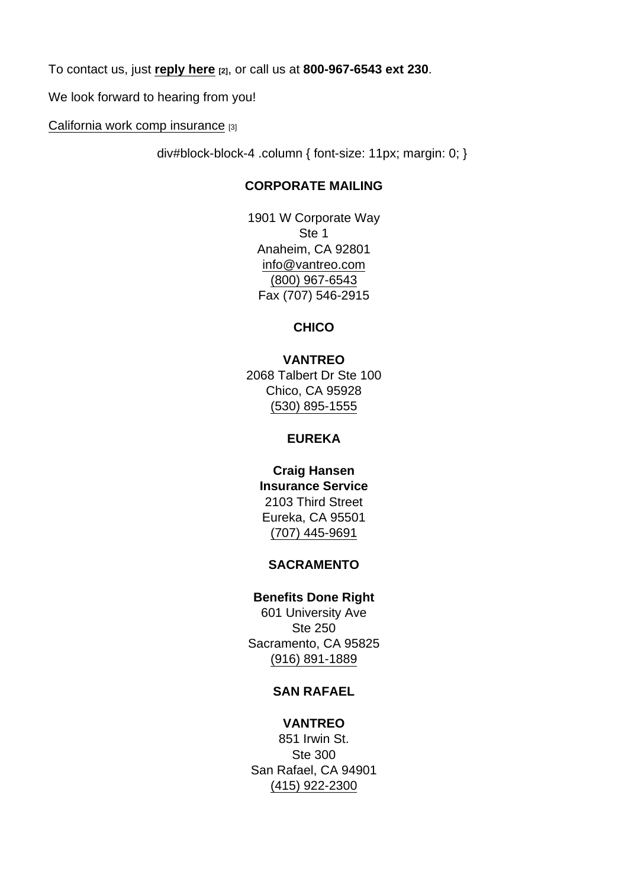To contact us, just [reply here](mailto:glangevin@vantreo.com?subject=How To Eliminate Workplace Drama Today!)  $_{[2]}$ , or call us at 800-967-6543 ext 230.

We look forward to hearing from you!

[California work comp insurance](https://www.vantreo.com/coverage/workers-comp-insurance) [3]

div#block-block-4 .column { font-size: 11px; margin: 0; }

### CORPORATE MAILING

1901 W Corporate Way Ste 1 Anaheim, CA 92801 [info@vantreo.com](mailto:info@vantreo.com) [\(800\) 967-6543](tel:1-800-967-6543) Fax (707) 546-2915

**CHICO** 

VANTREO 2068 Talbert Dr Ste 100 Chico, CA 95928 [\(530\) 895-1555](tel:530-895-1555)

#### EUREKA

Craig Hansen Insurance Service 2103 Third Street Eureka, CA 95501 [\(707\) 445-9691](tel:707-445-9691)

### SACRAMENTO

Benefits Done Right 601 University Ave Ste 250 Sacramento, CA 95825 [\(916\) 891-1889](tel:916-891-1889)

### SAN RAFAEL

VANTREO 851 Irwin St. Ste 300 San Rafael, CA 94901 [\(415\) 922-2300](tel:415-922-2300)